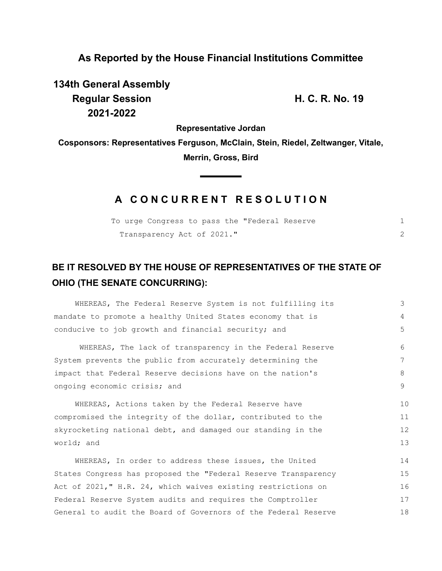## **As Reported by the House Financial Institutions Committee**

**134th General Assembly Regular Session H. C. R. No. 19 2021-2022**

**Representative Jordan**

**Cosponsors: Representatives Ferguson, McClain, Stein, Riedel, Zeltwanger, Vitale, Merrin, Gross, Bird**

 $\blacksquare$ 

## **A C O N C U R R E N T R E S O L U T I O N**

| To urge Congress to pass the "Federal Reserve |  |
|-----------------------------------------------|--|
| Transparency Act of 2021."                    |  |

## **BE IT RESOLVED BY THE HOUSE OF REPRESENTATIVES OF THE STATE OF OHIO (THE SENATE CONCURRING):**

| WHEREAS, The Federal Reserve System is not fulfilling its      | 3  |  |
|----------------------------------------------------------------|----|--|
| mandate to promote a healthy United States economy that is     | 4  |  |
| conducive to job growth and financial security; and            | 5  |  |
| WHEREAS, The lack of transparency in the Federal Reserve       | 6  |  |
| System prevents the public from accurately determining the     | 7  |  |
| impact that Federal Reserve decisions have on the nation's     |    |  |
| ongoing economic crisis; and                                   |    |  |
| WHEREAS, Actions taken by the Federal Reserve have             | 10 |  |
| compromised the integrity of the dollar, contributed to the    |    |  |
| skyrocketing national debt, and damaged our standing in the    |    |  |
| world; and                                                     |    |  |
| WHEREAS, In order to address these issues, the United          | 14 |  |
| States Congress has proposed the "Federal Reserve Transparency | 15 |  |
| Act of 2021," H.R. 24, which waives existing restrictions on   | 16 |  |
| Federal Reserve System audits and requires the Comptroller     | 17 |  |
| General to audit the Board of Governors of the Federal Reserve |    |  |